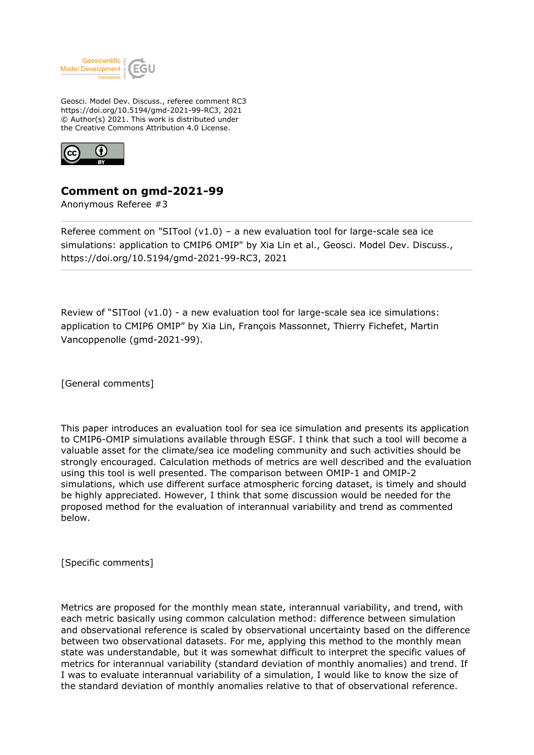

Geosci. Model Dev. Discuss., referee comment RC3 https://doi.org/10.5194/gmd-2021-99-RC3, 2021 © Author(s) 2021. This work is distributed under the Creative Commons Attribution 4.0 License.



## **Comment on gmd-2021-99**

Anonymous Referee #3

Referee comment on "SITool  $(v1.0)$  – a new evaluation tool for large-scale sea ice simulations: application to CMIP6 OMIP" by Xia Lin et al., Geosci. Model Dev. Discuss., https://doi.org/10.5194/gmd-2021-99-RC3, 2021

Review of "SITool (v1.0) - a new evaluation tool for large-scale sea ice simulations: application to CMIP6 OMIP" by Xia Lin, François Massonnet, Thierry Fichefet, Martin Vancoppenolle (gmd-2021-99).

[General comments]

This paper introduces an evaluation tool for sea ice simulation and presents its application to CMIP6-OMIP simulations available through ESGF. I think that such a tool will become a valuable asset for the climate/sea ice modeling community and such activities should be strongly encouraged. Calculation methods of metrics are well described and the evaluation using this tool is well presented. The comparison between OMIP-1 and OMIP-2 simulations, which use different surface atmospheric forcing dataset, is timely and should be highly appreciated. However, I think that some discussion would be needed for the proposed method for the evaluation of interannual variability and trend as commented below.

[Specific comments]

Metrics are proposed for the monthly mean state, interannual variability, and trend, with each metric basically using common calculation method: difference between simulation and observational reference is scaled by observational uncertainty based on the difference between two observational datasets. For me, applying this method to the monthly mean state was understandable, but it was somewhat difficult to interpret the specific values of metrics for interannual variability (standard deviation of monthly anomalies) and trend. If I was to evaluate interannual variability of a simulation, I would like to know the size of the standard deviation of monthly anomalies relative to that of observational reference.